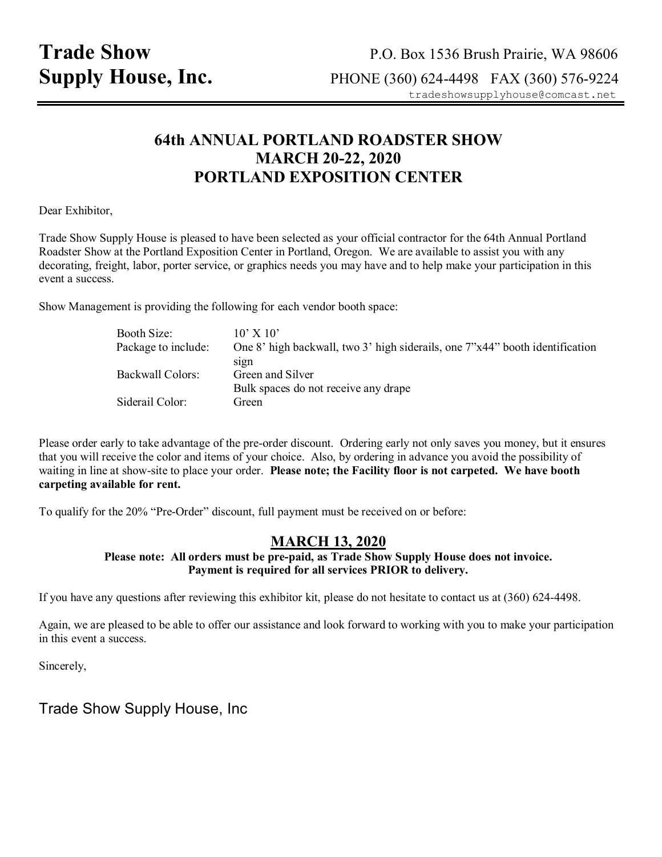# **64th ANNUAL PORTLAND ROADSTER SHOW MARCH 20-22, 2020 PORTLAND EXPOSITION CENTER**

Dear Exhibitor,

Trade Show Supply House is pleased to have been selected as your official contractor for the 64th Annual Portland Roadster Show at the Portland Exposition Center in Portland, Oregon. We are available to assist you with any decorating, freight, labor, porter service, or graphics needs you may have and to help make your participation in this event a success.

Show Management is providing the following for each vendor booth space:

| Booth Size:         | $10'$ X $10'$                                                                |
|---------------------|------------------------------------------------------------------------------|
| Package to include: | One 8' high backwall, two 3' high siderails, one 7"x44" booth identification |
|                     | sign                                                                         |
| Backwall Colors:    | Green and Silver                                                             |
|                     | Bulk spaces do not receive any drape                                         |
| Siderail Color:     | Green                                                                        |

Please order early to take advantage of the pre-order discount. Ordering early not only saves you money, but it ensures that you will receive the color and items of your choice. Also, by ordering in advance you avoid the possibility of waiting in line at show-site to place your order. **Please note; the Facility floor is not carpeted. We have booth carpeting available for rent.** 

To qualify for the 20% "Pre-Order" discount, full payment must be received on or before:

### **MARCH 13, 2020**

**Please note: All orders must be pre-paid, as Trade Show Supply House does not invoice. Payment is required for all services PRIOR to delivery.** 

If you have any questions after reviewing this exhibitor kit, please do not hesitate to contact us at (360) 624-4498.

Again, we are pleased to be able to offer our assistance and look forward to working with you to make your participation in this event a success.

Sincerely,

Trade Show Supply House, Inc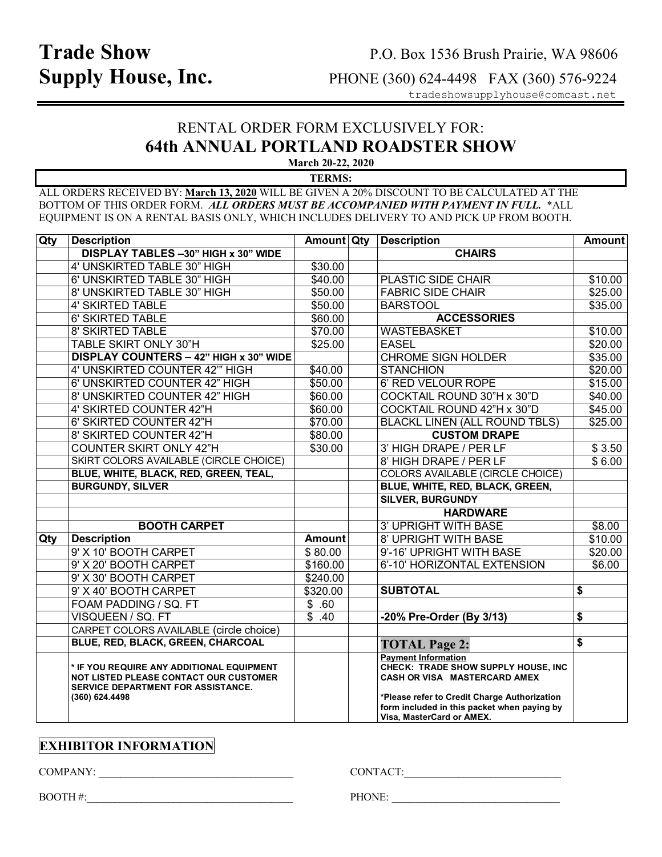# **Trade Show** P.O. Box 1536 Brush Prairie, WA 98606<br> **Supply House, Inc.** PHONE (360) 624-4498 FAX (360) 576-9224 **Supply House, Inc.**PHONE (360) 624-4498 FAX (360) 576-9224

tradeshowsupplyhouse@comcast.net

## RENTAL ORDER FORM EXCLUSIVELY FOR: **64th ANNUAL PORTLAND ROADSTER SHOW March 20-22, 2020**

**TERMS:** 

ALL ORDERS RECEIVED BY: **March 13, 2020** WILL BE GIVEN A 20% DISCOUNT TO BE CALCULATED AT THE BOTTOM OF THIS ORDER FORM. *ALL ORDERS MUST BE ACCOMPANIED WITH PAYMENT IN FULL.* \*ALL EQUIPMENT IS ON A RENTAL BASIS ONLY, WHICH INCLUDES DELIVERY TO AND PICK UP FROM BOOTH.

| Qty | <b>Description</b>                                                                                                                                 | Amount Qty          | <b>Description</b>                                                                                                                                                                                                            | <b>Amount</b> |
|-----|----------------------------------------------------------------------------------------------------------------------------------------------------|---------------------|-------------------------------------------------------------------------------------------------------------------------------------------------------------------------------------------------------------------------------|---------------|
|     | DISPLAY TABLES -30" HIGH x 30" WIDE                                                                                                                |                     | <b>CHAIRS</b>                                                                                                                                                                                                                 |               |
|     | 4' UNSKIRTED TABLE 30" HIGH                                                                                                                        | \$30.00             |                                                                                                                                                                                                                               |               |
|     | 6' UNSKIRTED TABLE 30" HIGH                                                                                                                        | \$40.00             | PLASTIC SIDE CHAIR                                                                                                                                                                                                            | \$10.00       |
|     | 8' UNSKIRTED TABLE 30" HIGH                                                                                                                        | \$50.00             | <b>FABRIC SIDE CHAIR</b>                                                                                                                                                                                                      | \$25.00       |
|     | <b>4' SKIRTED TABLE</b>                                                                                                                            | \$50.00             | <b>BARSTOOL</b>                                                                                                                                                                                                               | \$35.00       |
|     | 6' SKIRTED TABLE                                                                                                                                   | \$60.00             | <b>ACCESSORIES</b>                                                                                                                                                                                                            |               |
|     | 8' SKIRTED TABLE                                                                                                                                   | \$70.00             | WASTEBASKET                                                                                                                                                                                                                   | \$10.00       |
|     | TABLE SKIRT ONLY 30"H                                                                                                                              | \$25.00             | <b>EASEL</b>                                                                                                                                                                                                                  | \$20.00       |
|     | DISPLAY COUNTERS - 42" HIGH x 30" WIDE                                                                                                             |                     | <b>CHROME SIGN HOLDER</b>                                                                                                                                                                                                     | \$35.00       |
|     | 4' UNSKIRTED COUNTER 42" HIGH                                                                                                                      | \$40.00             | <b>STANCHION</b>                                                                                                                                                                                                              | \$20.00       |
|     | 6' UNSKIRTED COUNTER 42" HIGH                                                                                                                      | \$50.00             | 6' RED VELOUR ROPE                                                                                                                                                                                                            | \$15.00       |
|     | 8' UNSKIRTED COUNTER 42" HIGH                                                                                                                      | \$60.00             | COCKTAIL ROUND 30"H x 30"D                                                                                                                                                                                                    | \$40.00       |
|     | 4' SKIRTED COUNTER 42"H                                                                                                                            | \$60.00             | COCKTAIL ROUND 42"H x 30"D                                                                                                                                                                                                    | \$45.00       |
|     | 6' SKIRTED COUNTER 42"H                                                                                                                            | \$70.00             | <b>BLACKL LINEN (ALL ROUND TBLS)</b>                                                                                                                                                                                          | \$25.00       |
|     | 8' SKIRTED COUNTER 42"H                                                                                                                            | \$80.00             | <b>CUSTOM DRAPE</b>                                                                                                                                                                                                           |               |
|     | <b>COUNTER SKIRT ONLY 42"H</b>                                                                                                                     | \$30.00             | 3' HIGH DRAPE / PER LF                                                                                                                                                                                                        | \$3.50        |
|     | SKIRT COLORS AVAILABLE (CIRCLE CHOICE)                                                                                                             |                     | 8' HIGH DRAPE / PER LF                                                                                                                                                                                                        | \$6.00        |
|     | BLUE, WHITE, BLACK, RED, GREEN, TEAL,                                                                                                              |                     | <b>COLORS AVAILABLE (CIRCLE CHOICE)</b>                                                                                                                                                                                       |               |
|     | <b>BURGUNDY, SILVER</b>                                                                                                                            |                     | BLUE, WHITE, RED, BLACK, GREEN,                                                                                                                                                                                               |               |
|     |                                                                                                                                                    |                     | <b>SILVER, BURGUNDY</b>                                                                                                                                                                                                       |               |
|     |                                                                                                                                                    |                     | <b>HARDWARE</b>                                                                                                                                                                                                               |               |
|     | <b>BOOTH CARPET</b>                                                                                                                                |                     | <b>3' UPRIGHT WITH BASE</b>                                                                                                                                                                                                   | \$8.00        |
| Qty | <b>Description</b>                                                                                                                                 | <b>Amount</b>       | <b>8' UPRIGHT WITH BASE</b>                                                                                                                                                                                                   | \$10.00       |
|     | 9' X 10' BOOTH CARPET                                                                                                                              | \$80.00             | 9'-16' UPRIGHT WITH BASE                                                                                                                                                                                                      | \$20.00       |
|     | 9' X 20' BOOTH CARPET                                                                                                                              | \$160.00            | 6'-10' HORIZONTAL EXTENSION                                                                                                                                                                                                   | \$6.00        |
|     | 9' X 30' BOOTH CARPET                                                                                                                              | \$240.00            |                                                                                                                                                                                                                               |               |
|     | 9' X 40' BOOTH CARPET                                                                                                                              | \$320.00            | <b>SUBTOTAL</b>                                                                                                                                                                                                               | \$            |
|     | FOAM PADDING / SQ. FT                                                                                                                              | \$.60               |                                                                                                                                                                                                                               |               |
|     | VISQUEEN / SQ. FT                                                                                                                                  | $\overline{\$}$ .40 | -20% Pre-Order (By 3/13)                                                                                                                                                                                                      | \$            |
|     | CARPET COLORS AVAILABLE (circle choice)                                                                                                            |                     |                                                                                                                                                                                                                               |               |
|     | BLUE, RED, BLACK, GREEN, CHARCOAL                                                                                                                  |                     | <b>TOTAL Page 2:</b>                                                                                                                                                                                                          | \$            |
|     | * IF YOU REQUIRE ANY ADDITIONAL EQUIPMENT<br>NOT LISTED PLEASE CONTACT OUR CUSTOMER<br><b>SERVICE DEPARTMENT FOR ASSISTANCE.</b><br>(360) 624.4498 |                     | <b>Payment Information</b><br>CHECK: TRADE SHOW SUPPLY HOUSE, INC<br>CASH OR VISA MASTERCARD AMEX<br>*Please refer to Credit Charge Authorization<br>form included in this packet when paying by<br>Visa, MasterCard or AMEX. |               |

## **EXHIBITOR INFORMATION**

COMPANY: \_\_\_\_\_\_\_\_\_\_\_\_\_\_\_\_\_\_\_\_\_\_\_\_\_\_\_\_\_\_\_\_\_\_\_\_ CONTACT:\_\_\_\_\_\_\_\_\_\_\_\_\_\_\_\_\_\_\_\_\_\_\_\_\_\_\_\_\_

BOOTH #:\_\_\_\_\_\_\_\_\_\_\_\_\_\_\_\_\_\_\_\_\_\_\_\_\_\_\_\_\_\_\_\_\_\_\_\_\_\_ PHONE: \_\_\_\_\_\_\_\_\_\_\_\_\_\_\_\_\_\_\_\_\_\_\_\_\_\_\_\_\_\_\_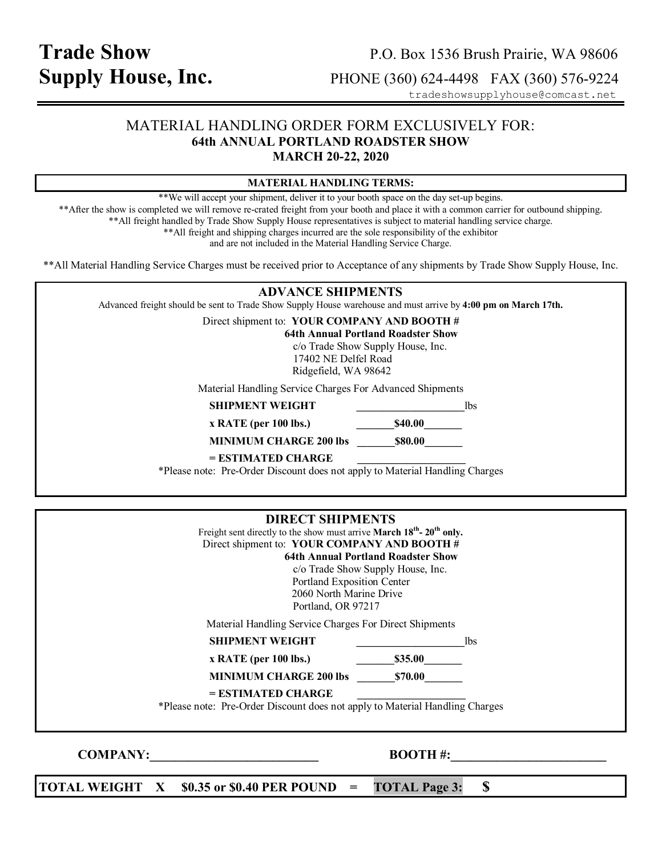# **Trade Show** P.O. Box 1536 Brush Prairie, WA 98606<br> **Supply House, Inc.** PHONE (360) 624-4498 FAX (360) 576-9224 **Supply House, Inc.**PHONE (360) 624-4498 FAX (360) 576-9224

tradeshowsupplyhouse@comcast.net

### MATERIAL HANDLING ORDER FORM EXCLUSIVELY FOR: **64th ANNUAL PORTLAND ROADSTER SHOW MARCH 20-22, 2020**

| <b>MATERIAL HANDLING TERMS:</b>                                                                                                                                                                                                                                                                                                                                                                                                                                                                                          |                                                                                                                                                                                                                                                                                                                     |  |  |  |  |  |  |
|--------------------------------------------------------------------------------------------------------------------------------------------------------------------------------------------------------------------------------------------------------------------------------------------------------------------------------------------------------------------------------------------------------------------------------------------------------------------------------------------------------------------------|---------------------------------------------------------------------------------------------------------------------------------------------------------------------------------------------------------------------------------------------------------------------------------------------------------------------|--|--|--|--|--|--|
| **We will accept your shipment, deliver it to your booth space on the day set-up begins.<br>** After the show is completed we will remove re-crated freight from your booth and place it with a common carrier for outbound shipping.<br>** All freight handled by Trade Show Supply House representatives is subject to material handling service charge.<br>** All freight and shipping charges incurred are the sole responsibility of the exhibitor<br>and are not included in the Material Handling Service Charge. |                                                                                                                                                                                                                                                                                                                     |  |  |  |  |  |  |
| ** All Material Handling Service Charges must be received prior to Acceptance of any shipments by Trade Show Supply House, Inc.                                                                                                                                                                                                                                                                                                                                                                                          |                                                                                                                                                                                                                                                                                                                     |  |  |  |  |  |  |
| <b>ADVANCE SHIPMENTS</b>                                                                                                                                                                                                                                                                                                                                                                                                                                                                                                 |                                                                                                                                                                                                                                                                                                                     |  |  |  |  |  |  |
| Advanced freight should be sent to Trade Show Supply House warehouse and must arrive by 4:00 pm on March 17th.                                                                                                                                                                                                                                                                                                                                                                                                           |                                                                                                                                                                                                                                                                                                                     |  |  |  |  |  |  |
| Direct shipment to: YOUR COMPANY AND BOOTH #                                                                                                                                                                                                                                                                                                                                                                                                                                                                             |                                                                                                                                                                                                                                                                                                                     |  |  |  |  |  |  |
|                                                                                                                                                                                                                                                                                                                                                                                                                                                                                                                          | <b>64th Annual Portland Roadster Show</b><br>c/o Trade Show Supply House, Inc.                                                                                                                                                                                                                                      |  |  |  |  |  |  |
| 17402 NE Delfel Road                                                                                                                                                                                                                                                                                                                                                                                                                                                                                                     |                                                                                                                                                                                                                                                                                                                     |  |  |  |  |  |  |
| Ridgefield, WA 98642                                                                                                                                                                                                                                                                                                                                                                                                                                                                                                     |                                                                                                                                                                                                                                                                                                                     |  |  |  |  |  |  |
| Material Handling Service Charges For Advanced Shipments                                                                                                                                                                                                                                                                                                                                                                                                                                                                 |                                                                                                                                                                                                                                                                                                                     |  |  |  |  |  |  |
| <b>SHIPMENT WEIGHT</b>                                                                                                                                                                                                                                                                                                                                                                                                                                                                                                   | $\frac{\ }{\ }$ lbs                                                                                                                                                                                                                                                                                                 |  |  |  |  |  |  |
| x RATE (per 100 lbs.) 540.00                                                                                                                                                                                                                                                                                                                                                                                                                                                                                             |                                                                                                                                                                                                                                                                                                                     |  |  |  |  |  |  |
| MINIMUM CHARGE 200 lbs 580.00                                                                                                                                                                                                                                                                                                                                                                                                                                                                                            |                                                                                                                                                                                                                                                                                                                     |  |  |  |  |  |  |
| $=$ ESTIMATED CHARGE                                                                                                                                                                                                                                                                                                                                                                                                                                                                                                     |                                                                                                                                                                                                                                                                                                                     |  |  |  |  |  |  |
| *Please note: Pre-Order Discount does not apply to Material Handling Charges                                                                                                                                                                                                                                                                                                                                                                                                                                             |                                                                                                                                                                                                                                                                                                                     |  |  |  |  |  |  |
|                                                                                                                                                                                                                                                                                                                                                                                                                                                                                                                          |                                                                                                                                                                                                                                                                                                                     |  |  |  |  |  |  |
| <b>DIRECT SHIPMENTS</b>                                                                                                                                                                                                                                                                                                                                                                                                                                                                                                  |                                                                                                                                                                                                                                                                                                                     |  |  |  |  |  |  |
| Freight sent directly to the show must arrive March 18 <sup>th</sup> - 20 <sup>th</sup> only.                                                                                                                                                                                                                                                                                                                                                                                                                            |                                                                                                                                                                                                                                                                                                                     |  |  |  |  |  |  |
| Direct shipment to: YOUR COMPANY AND BOOTH #                                                                                                                                                                                                                                                                                                                                                                                                                                                                             |                                                                                                                                                                                                                                                                                                                     |  |  |  |  |  |  |
| <b>64th Annual Portland Roadster Show</b>                                                                                                                                                                                                                                                                                                                                                                                                                                                                                |                                                                                                                                                                                                                                                                                                                     |  |  |  |  |  |  |
| c/o Trade Show Supply House, Inc.<br>Portland Exposition Center                                                                                                                                                                                                                                                                                                                                                                                                                                                          |                                                                                                                                                                                                                                                                                                                     |  |  |  |  |  |  |
| 2060 North Marine Drive                                                                                                                                                                                                                                                                                                                                                                                                                                                                                                  |                                                                                                                                                                                                                                                                                                                     |  |  |  |  |  |  |
| Portland, OR 97217                                                                                                                                                                                                                                                                                                                                                                                                                                                                                                       |                                                                                                                                                                                                                                                                                                                     |  |  |  |  |  |  |
| Material Handling Service Charges For Direct Shipments                                                                                                                                                                                                                                                                                                                                                                                                                                                                   |                                                                                                                                                                                                                                                                                                                     |  |  |  |  |  |  |
| <b>SHIPMENT WEIGHT</b>                                                                                                                                                                                                                                                                                                                                                                                                                                                                                                   | $\frac{1}{2}$ $\frac{1}{2}$ $\frac{1}{2}$ $\frac{1}{2}$ $\frac{1}{2}$ $\frac{1}{2}$ $\frac{1}{2}$ $\frac{1}{2}$ $\frac{1}{2}$ $\frac{1}{2}$ $\frac{1}{2}$ $\frac{1}{2}$ $\frac{1}{2}$ $\frac{1}{2}$ $\frac{1}{2}$ $\frac{1}{2}$ $\frac{1}{2}$ $\frac{1}{2}$ $\frac{1}{2}$ $\frac{1}{2}$ $\frac{1}{2}$ $\frac{1}{2}$ |  |  |  |  |  |  |
| $x$ RATE (per 100 lbs.)                                                                                                                                                                                                                                                                                                                                                                                                                                                                                                  | $\frac{\text{S35.00}}{}$                                                                                                                                                                                                                                                                                            |  |  |  |  |  |  |
| <b>MINIMUM CHARGE 200 lbs \$70.00</b>                                                                                                                                                                                                                                                                                                                                                                                                                                                                                    |                                                                                                                                                                                                                                                                                                                     |  |  |  |  |  |  |
| = ESTIMATED CHARGE                                                                                                                                                                                                                                                                                                                                                                                                                                                                                                       |                                                                                                                                                                                                                                                                                                                     |  |  |  |  |  |  |

\*Please note: Pre-Order Discount does not apply to Material Handling Charges

**COMPANY: BOOTH #:** 

**TOTAL WEIGHT**  $X = $0.35$  **or**  $$0.40$  **PER POUND = TOTAL Page 3:**  $$$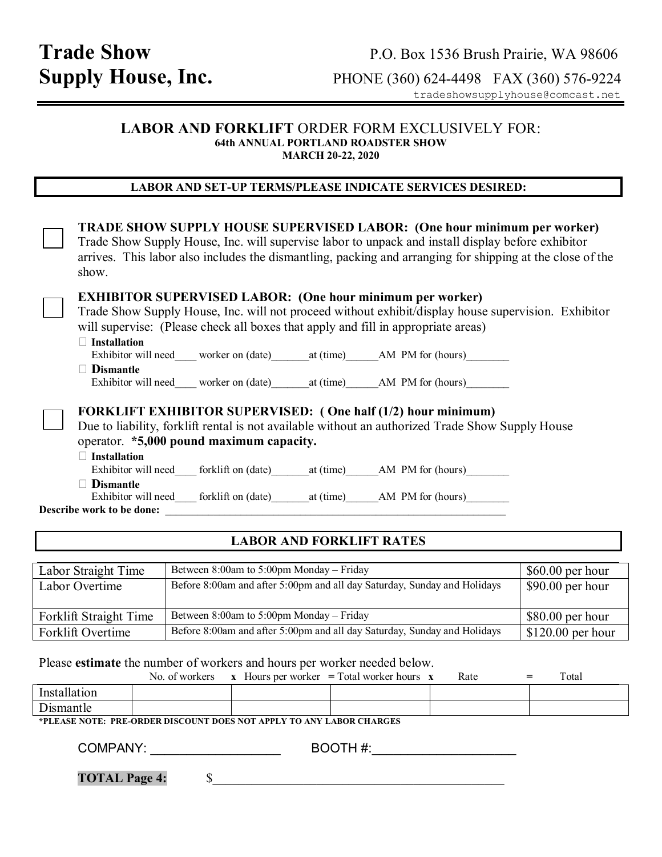### **LABOR AND FORKLIFT** ORDER FORM EXCLUSIVELY FOR: **64th ANNUAL PORTLAND ROADSTER SHOW MARCH 20-22, 2020**

### **LABOR AND SET-UP TERMS/PLEASE INDICATE SERVICES DESIRED:**

| <b>TRADE SHOW SUPPLY HOUSE SUPERVISED LABOR: (One hour minimum per worker)</b><br>Trade Show Supply House, Inc. will supervise labor to unpack and install display before exhibitor<br>arrives. This labor also includes the dismantling, packing and arranging for shipping at the close of the<br>show.                                                   |
|-------------------------------------------------------------------------------------------------------------------------------------------------------------------------------------------------------------------------------------------------------------------------------------------------------------------------------------------------------------|
| <b>EXHIBITOR SUPERVISED LABOR: (One hour minimum per worker)</b><br>Trade Show Supply House, Inc. will not proceed without exhibit/display house supervision. Exhibitor<br>will supervise: (Please check all boxes that apply and fill in appropriate areas)<br>$\Box$ Installation                                                                         |
| Exhibitor will need worker on (date) at (time) AM PM for (hours)                                                                                                                                                                                                                                                                                            |
| $\Box$ Dismantle                                                                                                                                                                                                                                                                                                                                            |
| Exhibitor will need____ worker on (date)_______ at (time)_______ AM PM for (hours)________                                                                                                                                                                                                                                                                  |
| <b>FORKLIFT EXHIBITOR SUPERVISED:</b> (One half (1/2) hour minimum)<br>Due to liability, forklift rental is not available without an authorized Trade Show Supply House<br>operator. *5,000 pound maximum capacity.<br>$\Box$ Installation<br><b>Dismantle</b><br>Exhibitor will need______ forklift on (date)__________at (time)_________AM_PM for (hours) |
| Describe work to be done:                                                                                                                                                                                                                                                                                                                                   |
|                                                                                                                                                                                                                                                                                                                                                             |

### **LABOR AND FORKLIFT RATES**

| Labor Straight Time    | Between 8:00am to 5:00pm Monday – Friday                                 | $$60.00$ per hour  |
|------------------------|--------------------------------------------------------------------------|--------------------|
| Labor Overtime         | Before 8:00am and after 5:00pm and all day Saturday, Sunday and Holidays | $$90.00$ per hour  |
|                        |                                                                          |                    |
| Forklift Straight Time | Between 8:00am to 5:00pm Monday – Friday                                 | $$80.00$ per hour  |
| Forklift Overtime      | Before 8:00am and after 5:00pm and all day Saturday, Sunday and Holidays | $$120.00$ per hour |

Please **estimate** the number of workers and hours per worker needed below.

|              | No. of workers | $\mathbf{X}$ | Hours per worker $=$ Total worker hours | Rate | $=$ | Total |
|--------------|----------------|--------------|-----------------------------------------|------|-----|-------|
| Installation |                |              |                                         |      |     |       |
| Dismantle    |                |              |                                         |      |     |       |

**\*PLEASE NOTE: PRE-ORDER DISCOUNT DOES NOT APPLY TO ANY LABOR CHARGES** 

COMPANY: \_\_\_\_\_\_\_\_\_\_\_\_\_\_\_\_\_\_ BOOTH #:\_\_\_\_\_\_\_\_\_\_\_\_\_\_\_\_\_\_\_\_

**TOTAL Page 4:**  $\qquad \qquad$  \$